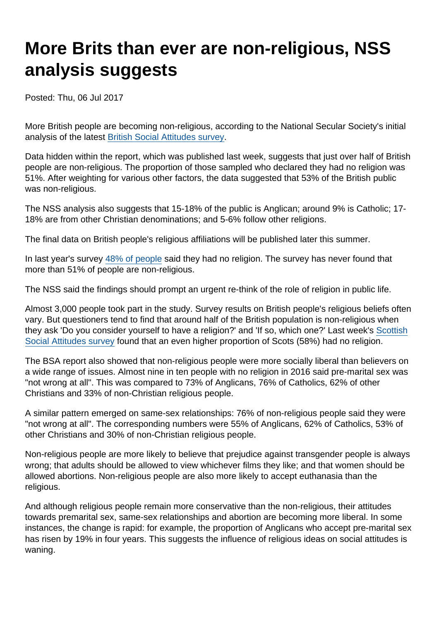## More Brits than ever are non-religious, NSS analysis suggests

Posted: Thu, 06 Jul 2017

More British people are becoming non-religious, according to the National Secular Society's initial analysis of the latest [British Social Attitudes survey](http://www.bsa.natcen.ac.uk/media/39196/bsa34_full-report_fin.pdf).

Data hidden within the report, which was published last week, suggests that just over half of British people are non-religious. The proportion of those sampled who declared they had no religion was 51%. After weighting for various other factors, the data suggested that 53% of the British public was non-religious.

The NSS analysis also suggests that 15-18% of the public is Anglican; around 9% is Catholic; 17- 18% are from other Christian denominations; and 5-6% follow other religions.

The final data on British people's religious affiliations will be published later this summer.

In last year's survey [48% of people](http://www.natcen.ac.uk/news-media/press-releases/2016/august/british-social-attitudes-religious-decline-comes-to-a-halt/) said they had no religion. The survey has never found that more than 51% of people are non-religious.

The NSS said the findings should prompt an urgent re-think of the role of religion in public life.

Almost 3,000 people took part in the study. Survey results on British people's religious beliefs often vary. But questioners tend to find that around half of the British population is non-religious when they ask 'Do you consider yourself to have a religion?' and 'If so, which one?' Last week's [Scottish](http://natcen.ac.uk/our-research/research/scottish-social-attitudes/) [Social Attitudes survey](http://natcen.ac.uk/our-research/research/scottish-social-attitudes/) found that an even higher proportion of Scots (58%) had no religion.

The BSA report also showed that non-religious people were more socially liberal than believers on a wide range of issues. Almost nine in ten people with no religion in 2016 said pre-marital sex was "not wrong at all". This was compared to 73% of Anglicans, 76% of Catholics, 62% of other Christians and 33% of non-Christian religious people.

A similar pattern emerged on same-sex relationships: 76% of non-religious people said they were "not wrong at all". The corresponding numbers were 55% of Anglicans, 62% of Catholics, 53% of other Christians and 30% of non-Christian religious people.

Non-religious people are more likely to believe that prejudice against transgender people is always wrong; that adults should be allowed to view whichever films they like; and that women should be allowed abortions. Non-religious people are also more likely to accept euthanasia than the religious.

And although religious people remain more conservative than the non-religious, their attitudes towards premarital sex, same-sex relationships and abortion are becoming more liberal. In some instances, the change is rapid: for example, the proportion of Anglicans who accept pre-marital sex has risen by 19% in four years. This suggests the influence of religious ideas on social attitudes is waning.